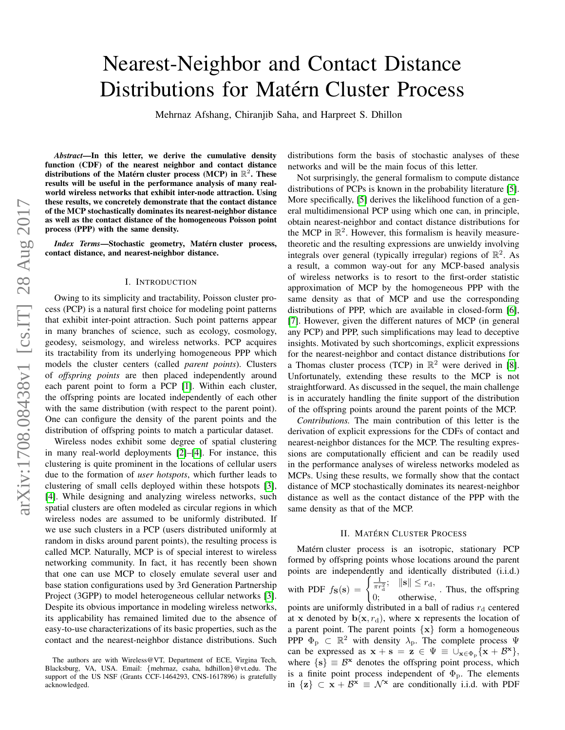# Nearest-Neighbor and Contact Distance Distributions for Matérn Cluster Process

Mehrnaz Afshang, Chiranjib Saha, and Harpreet S. Dhillon

*Abstract*—In this letter, we derive the cumulative density function (CDF) of the nearest neighbor and contact distance distributions of the Matérn cluster process (MCP) in  $\mathbb{R}^2$ . These results will be useful in the performance analysis of many realworld wireless networks that exhibit inter-node attraction. Using these results, we concretely demonstrate that the contact distance of the MCP stochastically dominates its nearest-neighbor distance as well as the contact distance of the homogeneous Poisson point process (PPP) with the same density.

*Index Terms*—Stochastic geometry, Matérn cluster process, contact distance, and nearest-neighbor distance.

#### I. INTRODUCTION

Owing to its simplicity and tractability, Poisson cluster process (PCP) is a natural first choice for modeling point patterns that exhibit inter-point attraction. Such point patterns appear in many branches of science, such as ecology, cosmology, geodesy, seismology, and wireless networks. PCP acquires its tractability from its underlying homogeneous PPP which models the cluster centers (called *parent points*). Clusters of *offspring points* are then placed independently around each parent point to form a PCP [\[1\]](#page-3-0). Within each cluster, the offspring points are located independently of each other with the same distribution (with respect to the parent point). One can configure the density of the parent points and the distribution of offspring points to match a particular dataset.

Wireless nodes exhibit some degree of spatial clustering in many real-world deployments [\[2\]](#page-3-1)–[\[4\]](#page-3-2). For instance, this clustering is quite prominent in the locations of cellular users due to the formation of *user hotspots*, which further leads to clustering of small cells deployed within these hotspots [\[3\]](#page-3-3), [\[4\]](#page-3-2). While designing and analyzing wireless networks, such spatial clusters are often modeled as circular regions in which wireless nodes are assumed to be uniformly distributed. If we use such clusters in a PCP (users distributed uniformly at random in disks around parent points), the resulting process is called MCP. Naturally, MCP is of special interest to wireless networking community. In fact, it has recently been shown that one can use MCP to closely emulate several user and base station configurations used by 3rd Generation Partnership Project (3GPP) to model heterogeneous cellular networks [\[3\]](#page-3-3). Despite its obvious importance in modeling wireless networks, its applicability has remained limited due to the absence of easy-to-use characterizations of its basic properties, such as the contact and the nearest-neighbor distance distributions. Such distributions form the basis of stochastic analyses of these networks and will be the main focus of this letter.

Not surprisingly, the general formalism to compute distance distributions of PCPs is known in the probability literature [\[5\]](#page-3-4). More specifically, [\[5\]](#page-3-4) derives the likelihood function of a general multidimensional PCP using which one can, in principle, obtain nearest-neighbor and contact distance distributions for the MCP in  $\mathbb{R}^2$ . However, this formalism is heavily measuretheoretic and the resulting expressions are unwieldy involving integrals over general (typically irregular) regions of  $\mathbb{R}^2$ . As a result, a common way-out for any MCP-based analysis of wireless networks is to resort to the first-order statistic approximation of MCP by the homogeneous PPP with the same density as that of MCP and use the corresponding distributions of PPP, which are available in closed-form [\[6\]](#page-3-5), [\[7\]](#page-3-6). However, given the different natures of MCP (in general any PCP) and PPP, such simplifications may lead to deceptive insights. Motivated by such shortcomings, explicit expressions for the nearest-neighbor and contact distance distributions for a Thomas cluster process (TCP) in  $\mathbb{R}^2$  were derived in [\[8\]](#page-3-7). Unfortunately, extending these results to the MCP is not straightforward. As discussed in the sequel, the main challenge is in accurately handling the finite support of the distribution of the offspring points around the parent points of the MCP.

*Contributions.* The main contribution of this letter is the derivation of explicit expressions for the CDFs of contact and nearest-neighbor distances for the MCP. The resulting expressions are computationally efficient and can be readily used in the performance analyses of wireless networks modeled as MCPs. Using these results, we formally show that the contact distance of MCP stochastically dominates its nearest-neighbor distance as well as the contact distance of the PPP with the same density as that of the MCP.

# **II. MATÉRN CLUSTER PROCESS**

Matérn cluster process is an isotropic, stationary PCP formed by offspring points whose locations around the parent points are independently and identically distributed (i.i.d.) with PDF  $f_{\mathbf{S}}(\mathbf{s}) = \begin{cases} \frac{1}{\pi r_d^2}; & \|\mathbf{s}\| \leq r_d, \end{cases}$ 0; otherwise, . Thus, the offspring points are uniformly distributed in a ball of radius  $r_d$  centered at x denoted by  $\mathbf{b}(\mathbf{x}, r_{d})$ , where x represents the location of a parent point. The parent points  $\{x\}$  form a homogeneous PPP  $\Phi_{\rm p} \subset \mathbb{R}^2$  with density  $\lambda_{\rm p}$ . The complete process  $\Psi$ can be expressed as  $x + s = z \in \Psi \equiv \cup_{x \in \Phi_p} \{x + \mathcal{B}^x\},\$ where  $\{s\} \equiv \mathcal{B}^x$  denotes the offspring point process, which is a finite point process independent of  $\Phi_{\rm p}$ . The elements in  $\{z\} \subset x + \mathcal{B}^x \equiv \mathcal{N}^x$  are conditionally i.i.d. with PDF

The authors are with Wireless@VT, Department of ECE, Virgina Tech, Blacksburg, VA, USA. Email: {mehrnaz, csaha, hdhillon}@vt.edu. The support of the US NSF (Grants CCF-1464293, CNS-1617896) is gratefully acknowledged.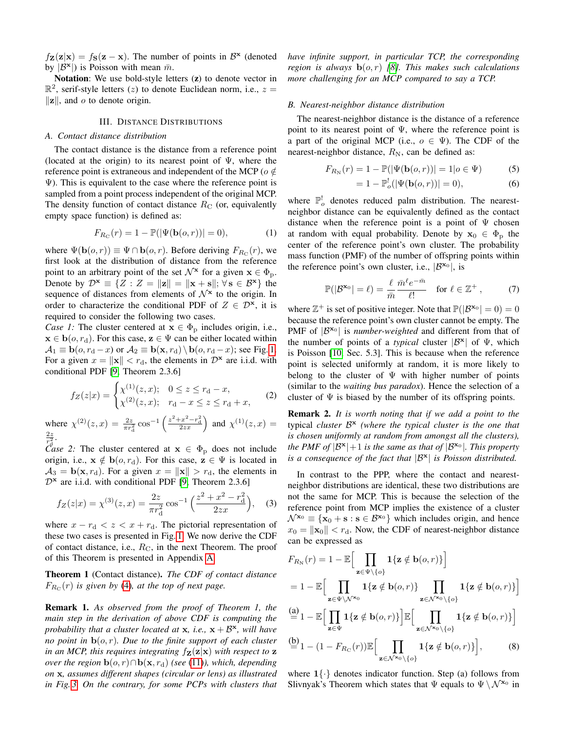$f_{\mathbf{Z}}(\mathbf{z}|\mathbf{x}) = f_{\mathbf{S}}(\mathbf{z} - \mathbf{x})$ . The number of points in  $\mathcal{B}^{\mathbf{x}}$  (denoted by  $|\mathcal{B}^{\mathbf{x}}|$  is Poisson with mean  $\bar{m}$ .

Notation: We use bold-style letters (z) to denote vector in  $\mathbb{R}^2$ , serif-style letters (*z*) to denote Euclidean norm, i.e.,  $z =$  $\|\mathbf{z}\|$ , and o to denote origin.

## III. DISTANCE DISTRIBUTIONS

# *A. Contact distance distribution*

The contact distance is the distance from a reference point (located at the origin) to its nearest point of  $\Psi$ , where the reference point is extraneous and independent of the MCP ( $o \notin$  $\Psi$ ). This is equivalent to the case where the reference point is sampled from a point process independent of the original MCP. The density function of contact distance  $R_{\rm C}$  (or, equivalently empty space function) is defined as:

$$
F_{R_{\rm C}}(r) = 1 - \mathbb{P}(|\Psi(\mathbf{b}(o, r))| = 0),\tag{1}
$$

where  $\Psi(\mathbf{b}(o,r)) \equiv \Psi \cap \mathbf{b}(o,r)$ . Before deriving  $F_{R_{\text{C}}}(r)$ , we first look at the distribution of distance from the reference point to an arbitrary point of the set  $\mathcal{N}^{\mathbf{x}}$  for a given  $\mathbf{x} \in \Phi_p$ . Denote by  $\mathcal{D}^{\mathbf{x}} \equiv \{ Z : Z = ||\mathbf{z}|| = ||\mathbf{x} + \mathbf{s}||; \forall \mathbf{s} \in \mathcal{B}^{\mathbf{x}} \}$  the sequence of distances from elements of  $\mathcal{N}^{\mathbf{x}}$  to the origin. In order to characterize the conditional PDF of  $Z \in \mathcal{D}^{\mathbf{x}}$ , it is required to consider the following two cases.

*Case 1:* The cluster centered at  $x \in \Phi_p$  includes origin, i.e.,  $\mathbf{x} \in \mathbf{b}(o, r_d)$ . For this case,  $\mathbf{z} \in \Psi$  can be either located within  $\mathcal{A}_1 \equiv \mathbf{b}(o, r_d - x)$  or  $\mathcal{A}_2 \equiv \mathbf{b}(\mathbf{x}, r_d) \setminus \mathbf{b}(o, r_d - x)$ ; see Fig. [1.](#page-2-0) For a given  $x = ||\mathbf{x}|| < r_d$ , the elements in  $\mathcal{D}^{\mathbf{x}}$  are i.i.d. with conditional PDF [\[9,](#page-3-8) Theorem 2.3.6]

$$
f_Z(z|x) = \begin{cases} \chi^{(1)}(z,x); & 0 \le z \le r_d - x, \\ \chi^{(2)}(z,x); & r_d - x \le z \le r_d + x, \end{cases}
$$
 (2)

where  $\chi^{(2)}(z, x) = \frac{2z}{\pi r_a^2} \cos^{-1} \left( \frac{z^2 + x^2 - r_a^2}{2zx} \right)$  and  $\chi^{(1)}(z, x) =$  $\overline{2z}$ 2 .

 $\mathcal{C}_{\text{dS}}^{r_q^2}$  2: The cluster centered at  $\mathbf{x} \in \Phi_p$  does not include origin, i.e.,  $x \notin b(o, r_d)$ . For this case,  $z \in \Psi$  is located in  $A_3 = \mathbf{b}(\mathbf{x}, r_d)$ . For a given  $x = ||\mathbf{x}|| > r_d$ , the elements in  $D^x$  are i.i.d. with conditional PDF [\[9,](#page-3-8) Theorem 2.3.6]

$$
f_Z(z|x) = \chi^{(3)}(z,x) = \frac{2z}{\pi r_d^2} \cos^{-1}\left(\frac{z^2 + x^2 - r_d^2}{2zx}\right), \quad (3)
$$

where  $x - r_d < z < x + r_d$ . The pictorial representation of these two cases is presented in Fig. [1.](#page-2-0) We now derive the CDF of contact distance, i.e.,  $R_C$ , in the next Theorem. The proof of this Theorem is presented in Appendix [A.](#page-3-9)

<span id="page-1-2"></span>Theorem 1 (Contact distance). *The CDF of contact distance*  $F_{R_C}(r)$  *is given by* [\(4\)](#page-2-1)*, at the top of next page.* 

Remark 1. *As observed from the proof of Theorem 1, the main step in the derivation of above CDF is computing the probability that a cluster located at* x*, i.e.,* x + B x *, will have no point in* b(o, r)*. Due to the finite support of each cluster in an MCP, this requires integrating*  $f_{\mathbf{Z}}(\mathbf{z}|\mathbf{x})$  *with respect to*  $\mathbf{z}$ *over the region*  $\mathbf{b}(o, r) \cap \mathbf{b}(\mathbf{x}, r_d)$  *(see* [\(11\)](#page-3-10)*), which, depending on* x*, assumes different shapes (circular or lens) as illustrated in Fig. [3.](#page-3-11) On the contrary, for some PCPs with clusters that* *have infinite support, in particular TCP, the corresponding region is always* b(o, r) *[\[8\]](#page-3-7). This makes such calculations more challenging for an MCP compared to say a TCP.*

## *B. Nearest-neighbor distance distribution*

The nearest-neighbor distance is the distance of a reference point to its nearest point of  $\Psi$ , where the reference point is a part of the original MCP (i.e.,  $o \in \Psi$ ). The CDF of the nearest-neighbor distance,  $R_N$ , can be defined as:

$$
F_{R_{\rm N}}(r) = 1 - \mathbb{P}(|\Psi(\mathbf{b}(o, r))| = 1|o \in \Psi)
$$
 (5)

<span id="page-1-5"></span>
$$
=1-\mathbb{P}_o^!(|\Psi(\mathbf{b}(o,r))|=0),\tag{6}
$$

<span id="page-1-3"></span>where  $\mathbb{P}_{o}^{!}$  denotes reduced palm distribution. The nearestneighbor distance can be equivalently defined as the contact distance when the reference point is a point of  $\Psi$  chosen at random with equal probability. Denote by  $x_0 \in \Phi_p$  the center of the reference point's own cluster. The probability mass function (PMF) of the number of offspring points within the reference point's own cluster, i.e.,  $|\mathcal{B}^{\mathbf{x}_0}|$ , is

$$
\mathbb{P}(|\mathcal{B}^{\mathbf{x}_0}| = \ell) = \frac{\ell}{\bar{m}} \frac{\bar{m}^{\ell} e^{-\bar{m}}}{\ell!} \quad \text{for } \ell \in \mathbb{Z}^+ \,, \tag{7}
$$

where  $\mathbb{Z}^+$  is set of positive integer. Note that  $\mathbb{P}(|\mathcal{B}^{\mathbf{x}_0}| = 0) = 0$ because the reference point's own cluster cannot be empty. The PMF of  $|\mathcal{B}^{\mathbf{x}_0}|$  is *number-weighted* and different from that of the number of points of a *typical* cluster  $|\mathcal{B}^{\mathbf{x}}|$  of  $\Psi$ , which is Poisson [\[10,](#page-3-12) Sec. 5.3]. This is because when the reference point is selected uniformly at random, it is more likely to belong to the cluster of  $\Psi$  with higher number of points (similar to the *waiting bus paradox*). Hence the selection of a cluster of  $\Psi$  is biased by the number of its offspring points.

<span id="page-1-0"></span>Remark 2. *It is worth noting that if we add a point to the* typical *cluster* B x *(where the typical cluster is the one that is chosen uniformly at random from amongst all the clusters),* the PMF of  $|\mathcal{B}^{\mathbf{x}}|+1$  *is the same as that of*  $|\mathcal{B}^{\mathbf{x}_0}|$ *. This property is a consequence of the fact that*  $|\mathcal{B}^{\mathbf{x}}|$  *is Poisson distributed.* 

<span id="page-1-1"></span>In contrast to the PPP, where the contact and nearestneighbor distributions are identical, these two distributions are not the same for MCP. This is because the selection of the reference point from MCP implies the existence of a cluster  $\mathcal{N}^{\mathbf{x}_0} \equiv {\mathbf{x}_0 + \mathbf{s} : \mathbf{s} \in \mathcal{B}^{\mathbf{x}_0}}$  which includes origin, and hence  $x_0 = ||\mathbf{x}_0|| < r_d$ . Now, the CDF of nearest-neighbor distance can be expressed as

$$
F_{R_{\rm N}}(r) = 1 - \mathbb{E}\Big[\prod_{\mathbf{z}\in\Psi\backslash\{o\}}\mathbf{1}\{\mathbf{z}\notin\mathbf{b}(o,r)\}\Big]
$$
  
\n
$$
= 1 - \mathbb{E}\Big[\prod_{\mathbf{z}\in\Psi\backslash\mathcal{N}^{x_0}}\mathbf{1}\{\mathbf{z}\notin\mathbf{b}(o,r)\}\prod_{\mathbf{z}\in\mathcal{N}^{x_0}\backslash\{o\}}\mathbf{1}\{\mathbf{z}\notin\mathbf{b}(o,r)\}\Big]
$$
  
\n
$$
\stackrel{\text{(a)}}{=} 1 - \mathbb{E}\Big[\prod_{\mathbf{z}\in\Psi}\mathbf{1}\{\mathbf{z}\notin\mathbf{b}(o,r)\}\Big]\mathbb{E}\Big[\prod_{\mathbf{z}\in\mathcal{N}^{x_0}\backslash\{o\}}\mathbf{1}\{\mathbf{z}\notin\mathbf{b}(o,r)\}\Big]
$$
  
\n
$$
\stackrel{\text{(b)}}{=} 1 - (1 - F_{R_{\rm C}}(r))\mathbb{E}\Big[\prod_{\mathbf{z}\in\mathcal{N}^{x_0}\backslash\{o\}}\mathbf{1}\{\mathbf{z}\notin\mathbf{b}(o,r)\}\Big],
$$
 (8)

<span id="page-1-4"></span>where  $1\{\cdot\}$  denotes indicator function. Step (a) follows from Slivnyak's Theorem which states that  $\Psi$  equals to  $\Psi \setminus \mathcal{N}^{\mathbf{x}_0}$  in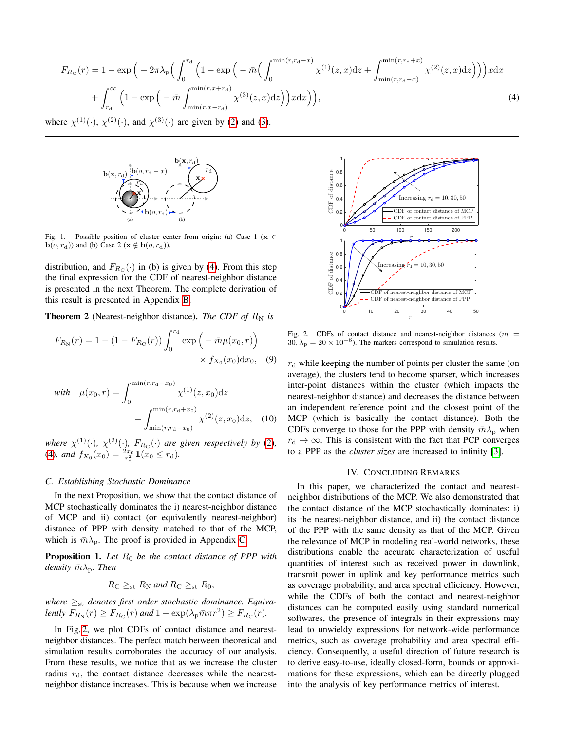$$
F_{R_{\rm C}}(r) = 1 - \exp\left(-2\pi\lambda_{\rm p}\left(\int_0^{r_{\rm d}} \left(1 - \exp\left(-\bar{m}\left(\int_0^{\min(r,r_{\rm d}-x)} \chi^{(1)}(z,x)dz + \int_{\min(r,r_{\rm d}-x)}^{\min(r,r_{\rm d}+x)} \chi^{(2)}(z,x)dz\right)\right)\right)xdx\right) + \int_{r_{\rm d}}^{\infty} \left(1 - \exp\left(-\bar{m}\int_{\min(r,x-r_{\rm d})}^{\min(r,x+r_{\rm d})} \chi^{(3)}(z,x)dz\right)\right)xdx\right),\tag{4}
$$

where  $\chi^{(1)}(\cdot)$ ,  $\chi^{(2)}(\cdot)$  $\chi^{(2)}(\cdot)$  $\chi^{(2)}(\cdot)$ , and  $\chi^{(3)}(\cdot)$  $\chi^{(3)}(\cdot)$  $\chi^{(3)}(\cdot)$  are given by (2) and (3).



<span id="page-2-0"></span>Fig. 1. Possible position of cluster center from origin: (a) Case 1 ( $\mathbf{x} \in \mathbb{R}$  $\mathbf{b}(o, r_{\mathrm{d}})$  and (b) Case 2 ( $\mathbf{x} \notin \mathbf{b}(o, r_{\mathrm{d}})$ ).

the final expression for the CDF of nearest-neighbor distance between the results of relative and respect to the complete derivation of is presented in the next Theorem. The complete derivation of distribution, and  $F_{R_{\rm C}}(\cdot)$  in (b) is given by [\(4\)](#page-2-1). From this step this result is presented in Appendix [B.](#page-3-13)

<span id="page-2-3"></span>**Theorem 2** (Nearest-neighbor distance). *The CDF of*  $R_N$  *is* 

$$
F_{R_{\rm N}}(r) = 1 - (1 - F_{R_{\rm C}}(r)) \int_0^{r_{\rm d}} \exp\left(-\bar{m}\mu(x_0, r)\right) \times f_{X_0}(x_0) \mathrm{d}x_0, \quad (9)
$$

with 
$$
\mu(x_0, r) = \int_0^{\min(r, r_d - x_0)} \chi^{(1)}(z, x_0) dz
$$
  
  $+ \int_{\min(r, r_d - x_0)}^{\min(r, r_d + x_0)} \chi^{(2)}(z, x_0) dz,$  (10)

*where*  $\chi^{(1)}(\cdot)$ ,  $\chi^{(2)}(\cdot)$  $\chi^{(2)}(\cdot)$  $\chi^{(2)}(\cdot)$ ,  $F_{R_{\text{C}}}(\cdot)$  *are given respectively by* (2)*,* [\(4\)](#page-2-1), and  $f_{X_0}(x_0) = \frac{2x_0}{r_d^2} \mathbf{1}(x_0 \le r_d)$ .

# *C. Establishing Stochastic Dominance*

In the next Proposition, we show that the contact distance of MCP stochastically dominates the i) nearest-neighbor distance of MCP and ii) contact (or equivalently nearest-neighbor) distance of PPP with density matched to that of the MCP, which is  $\bar{m}\lambda_{\rm p}$ . The proof is provided in Appendix [C.](#page-3-14)

<span id="page-2-4"></span>**Proposition 1.** Let  $R_0$  be the contact distance of PPP with *density*  $\bar{m}\lambda_p$ *. Then* 

$$
R_{\rm C} \geq_{\rm st} R_{\rm N} \text{ and } R_{\rm C} \geq_{\rm st} R_0,
$$

 $where ≥<sub>st</sub> denotes first order stochastic dominance. Equiva$ *lently*  $F_{R_N}(r) \ge F_{R_C}(r)$  *and*  $1 - \exp(\lambda_p \bar{m} \pi r^2) \ge F_{R_C}(r)$ *.* 

In Fig. [2,](#page-2-2) we plot CDFs of contact distance and nearestneighbor distances. The perfect match between theoretical and simulation results corroborates the accuracy of our analysis. From these results, we notice that as we increase the cluster radius  $r_d$ , the contact distance decreases while the nearestneighbor distance increases. This is because when we increase

<span id="page-2-1"></span>

<span id="page-2-2"></span>Fig. 2. CDFs of contact distance and nearest-neighbor distances ( $\bar{m}$  =  $30, \lambda_{\rm p} = 20 \times 10^{-6}$ ). The markers correspond to simulation results.

 $r<sub>d</sub>$  while keeping the number of points per cluster the same (on average), the clusters tend to become sparser, which increases inter-point distances within the cluster (which impacts the nearest-neighbor distance) and decreases the distance between an independent reference point and the closest point of the MCP (which is basically the contact distance). Both the CDFs converge to those for the PPP with density  $\bar{m}\lambda_{\rm p}$  when  $r_d \rightarrow \infty$ . This is consistent with the fact that PCP converges to a PPP as the *cluster sizes* are increased to infinity [\[3\]](#page-3-3).

# IV. CONCLUDING REMARKS

In this paper, we characterized the contact and nearestneighbor distributions of the MCP. We also demonstrated that the contact distance of the MCP stochastically dominates: i) its the nearest-neighbor distance, and ii) the contact distance of the PPP with the same density as that of the MCP. Given the relevance of MCP in modeling real-world networks, these distributions enable the accurate characterization of useful quantities of interest such as received power in downlink, transmit power in uplink and key performance metrics such as coverage probability, and area spectral efficiency. However, while the CDFs of both the contact and nearest-neighbor distances can be computed easily using standard numerical softwares, the presence of integrals in their expressions may lead to unwieldy expressions for network-wide performance metrics, such as coverage probability and area spectral efficiency. Consequently, a useful direction of future research is to derive easy-to-use, ideally closed-form, bounds or approximations for these expressions, which can be directly plugged into the analysis of key performance metrics of interest.